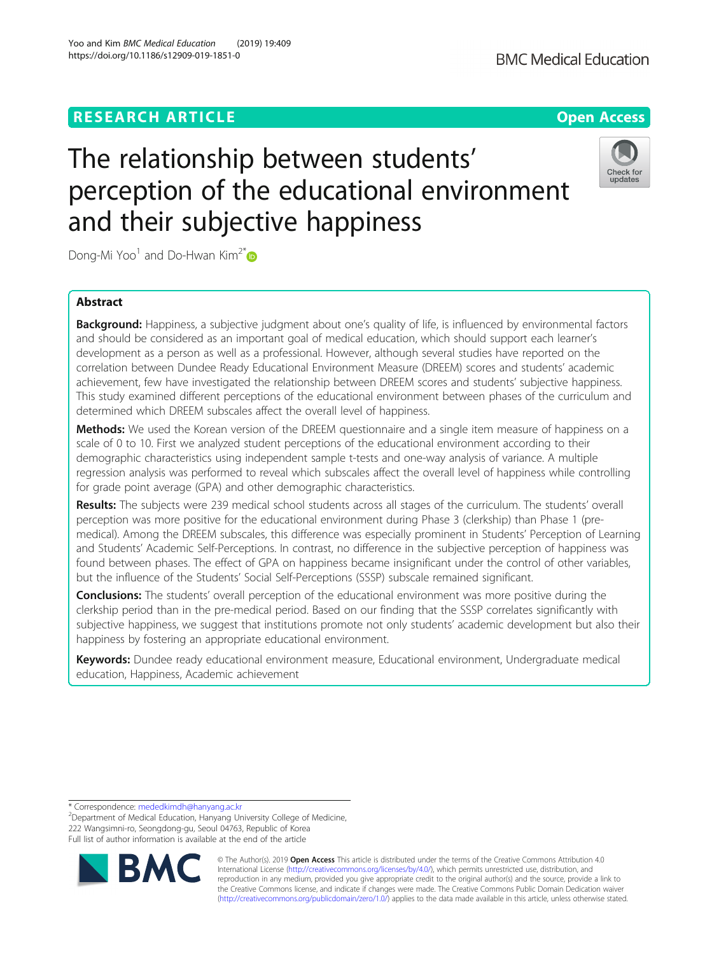# **RESEARCH ARTICLE Example 2014 12:30 The Contract of Contract ACCESS**

# The relationship between students' perception of the educational environment and their subjective happiness

Dong-Mi Yoo<sup>1</sup> and Do-Hwan Kim<sup>2[\\*](http://orcid.org/0000-0003-4137-7130)</sup>

# Abstract

Background: Happiness, a subjective judgment about one's quality of life, is influenced by environmental factors and should be considered as an important goal of medical education, which should support each learner's development as a person as well as a professional. However, although several studies have reported on the correlation between Dundee Ready Educational Environment Measure (DREEM) scores and students' academic achievement, few have investigated the relationship between DREEM scores and students' subjective happiness. This study examined different perceptions of the educational environment between phases of the curriculum and determined which DREEM subscales affect the overall level of happiness.

**Methods:** We used the Korean version of the DREEM questionnaire and a single item measure of happiness on a scale of 0 to 10. First we analyzed student perceptions of the educational environment according to their demographic characteristics using independent sample t-tests and one-way analysis of variance. A multiple regression analysis was performed to reveal which subscales affect the overall level of happiness while controlling for grade point average (GPA) and other demographic characteristics.

Results: The subjects were 239 medical school students across all stages of the curriculum. The students' overall perception was more positive for the educational environment during Phase 3 (clerkship) than Phase 1 (premedical). Among the DREEM subscales, this difference was especially prominent in Students' Perception of Learning and Students' Academic Self-Perceptions. In contrast, no difference in the subjective perception of happiness was found between phases. The effect of GPA on happiness became insignificant under the control of other variables, but the influence of the Students' Social Self-Perceptions (SSSP) subscale remained significant.

**Conclusions:** The students' overall perception of the educational environment was more positive during the clerkship period than in the pre-medical period. Based on our finding that the SSSP correlates significantly with subjective happiness, we suggest that institutions promote not only students' academic development but also their happiness by fostering an appropriate educational environment.

Keywords: Dundee ready educational environment measure, Educational environment, Undergraduate medical education, Happiness, Academic achievement

\* Correspondence: [mededkimdh@hanyang.ac.kr](mailto:mededkimdh@hanyang.ac.kr) <sup>2</sup>

<sup>&</sup>lt;sup>2</sup>Department of Medical Education, Hanyang University College of Medicine, 222 Wangsimni-ro, Seongdong-gu, Seoul 04763, Republic of Korea Full list of author information is available at the end of the article





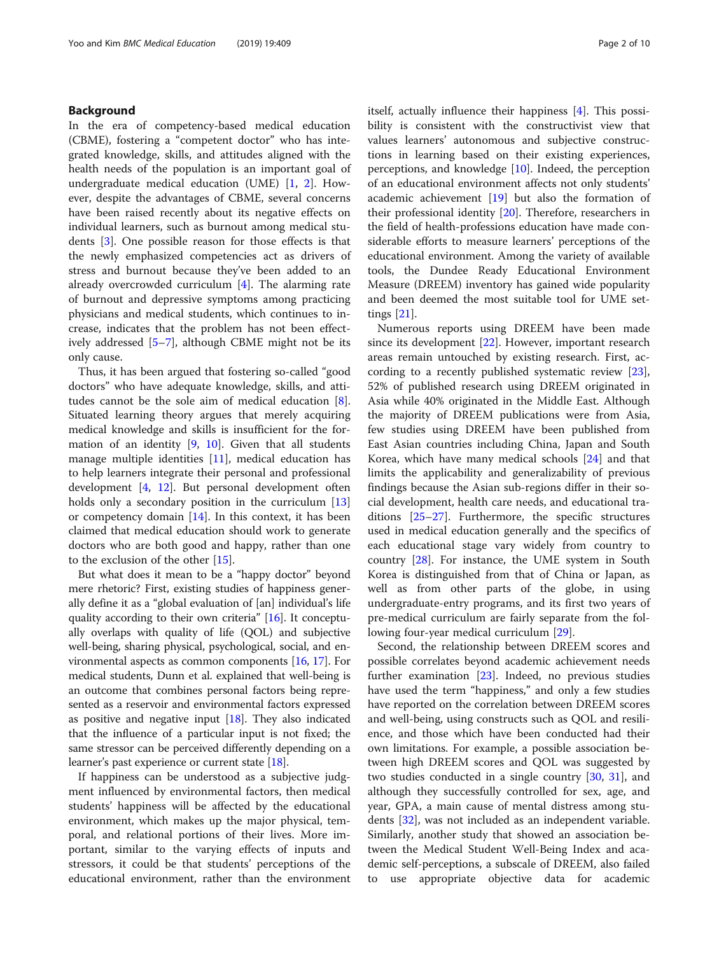# Background

In the era of competency-based medical education (CBME), fostering a "competent doctor" who has integrated knowledge, skills, and attitudes aligned with the health needs of the population is an important goal of undergraduate medical education (UME) [[1,](#page-8-0) [2\]](#page-8-0). However, despite the advantages of CBME, several concerns have been raised recently about its negative effects on individual learners, such as burnout among medical students [\[3](#page-8-0)]. One possible reason for those effects is that the newly emphasized competencies act as drivers of stress and burnout because they've been added to an already overcrowded curriculum [[4\]](#page-8-0). The alarming rate of burnout and depressive symptoms among practicing physicians and medical students, which continues to increase, indicates that the problem has not been effectively addressed [\[5](#page-8-0)–[7\]](#page-8-0), although CBME might not be its only cause.

Thus, it has been argued that fostering so-called "good doctors" who have adequate knowledge, skills, and attitudes cannot be the sole aim of medical education [\[8](#page-8-0)]. Situated learning theory argues that merely acquiring medical knowledge and skills is insufficient for the formation of an identity  $[9, 10]$  $[9, 10]$  $[9, 10]$  $[9, 10]$ . Given that all students manage multiple identities [\[11](#page-8-0)], medical education has to help learners integrate their personal and professional development [\[4,](#page-8-0) [12](#page-8-0)]. But personal development often holds only a secondary position in the curriculum [[13](#page-8-0)] or competency domain [\[14](#page-8-0)]. In this context, it has been claimed that medical education should work to generate doctors who are both good and happy, rather than one to the exclusion of the other [[15](#page-8-0)].

But what does it mean to be a "happy doctor" beyond mere rhetoric? First, existing studies of happiness generally define it as a "global evaluation of [an] individual's life quality according to their own criteria" [\[16\]](#page-8-0). It conceptually overlaps with quality of life (QOL) and subjective well-being, sharing physical, psychological, social, and environmental aspects as common components [[16](#page-8-0), [17\]](#page-8-0). For medical students, Dunn et al. explained that well-being is an outcome that combines personal factors being represented as a reservoir and environmental factors expressed as positive and negative input [[18](#page-8-0)]. They also indicated that the influence of a particular input is not fixed; the same stressor can be perceived differently depending on a learner's past experience or current state [[18](#page-8-0)].

If happiness can be understood as a subjective judgment influenced by environmental factors, then medical students' happiness will be affected by the educational environment, which makes up the major physical, temporal, and relational portions of their lives. More important, similar to the varying effects of inputs and stressors, it could be that students' perceptions of the educational environment, rather than the environment itself, actually influence their happiness [[4\]](#page-8-0). This possibility is consistent with the constructivist view that values learners' autonomous and subjective constructions in learning based on their existing experiences, perceptions, and knowledge [\[10](#page-8-0)]. Indeed, the perception of an educational environment affects not only students' academic achievement [[19\]](#page-8-0) but also the formation of their professional identity [[20\]](#page-8-0). Therefore, researchers in the field of health-professions education have made considerable efforts to measure learners' perceptions of the educational environment. Among the variety of available tools, the Dundee Ready Educational Environment Measure (DREEM) inventory has gained wide popularity and been deemed the most suitable tool for UME settings [\[21](#page-8-0)].

Numerous reports using DREEM have been made since its development [\[22](#page-8-0)]. However, important research areas remain untouched by existing research. First, according to a recently published systematic review [\[23](#page-8-0)], 52% of published research using DREEM originated in Asia while 40% originated in the Middle East. Although the majority of DREEM publications were from Asia, few studies using DREEM have been published from East Asian countries including China, Japan and South Korea, which have many medical schools [\[24](#page-8-0)] and that limits the applicability and generalizability of previous findings because the Asian sub-regions differ in their social development, health care needs, and educational traditions [[25](#page-8-0)–[27](#page-8-0)]. Furthermore, the specific structures used in medical education generally and the specifics of each educational stage vary widely from country to country [\[28](#page-8-0)]. For instance, the UME system in South Korea is distinguished from that of China or Japan, as well as from other parts of the globe, in using undergraduate-entry programs, and its first two years of pre-medical curriculum are fairly separate from the following four-year medical curriculum [\[29](#page-8-0)].

Second, the relationship between DREEM scores and possible correlates beyond academic achievement needs further examination [[23\]](#page-8-0). Indeed, no previous studies have used the term "happiness," and only a few studies have reported on the correlation between DREEM scores and well-being, using constructs such as QOL and resilience, and those which have been conducted had their own limitations. For example, a possible association between high DREEM scores and QOL was suggested by two studies conducted in a single country [[30](#page-8-0), [31](#page-8-0)], and although they successfully controlled for sex, age, and year, GPA, a main cause of mental distress among students [\[32](#page-8-0)], was not included as an independent variable. Similarly, another study that showed an association between the Medical Student Well-Being Index and academic self-perceptions, a subscale of DREEM, also failed to use appropriate objective data for academic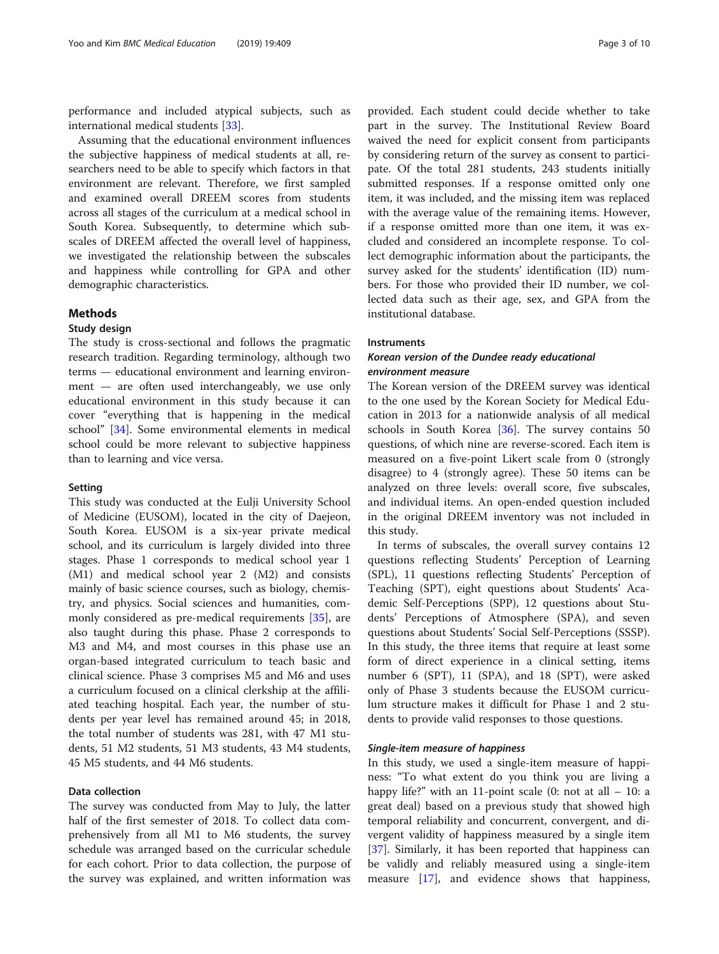performance and included atypical subjects, such as international medical students [[33\]](#page-8-0).

Assuming that the educational environment influences the subjective happiness of medical students at all, researchers need to be able to specify which factors in that environment are relevant. Therefore, we first sampled and examined overall DREEM scores from students across all stages of the curriculum at a medical school in South Korea. Subsequently, to determine which subscales of DREEM affected the overall level of happiness, we investigated the relationship between the subscales and happiness while controlling for GPA and other demographic characteristics.

# Methods

# Study design

The study is cross-sectional and follows the pragmatic research tradition. Regarding terminology, although two terms — educational environment and learning environment — are often used interchangeably, we use only educational environment in this study because it can cover "everything that is happening in the medical school" [\[34](#page-8-0)]. Some environmental elements in medical school could be more relevant to subjective happiness than to learning and vice versa.

#### Setting

This study was conducted at the Eulji University School of Medicine (EUSOM), located in the city of Daejeon, South Korea. EUSOM is a six-year private medical school, and its curriculum is largely divided into three stages. Phase 1 corresponds to medical school year 1 (M1) and medical school year 2 (M2) and consists mainly of basic science courses, such as biology, chemistry, and physics. Social sciences and humanities, commonly considered as pre-medical requirements [\[35](#page-8-0)], are also taught during this phase. Phase 2 corresponds to M3 and M4, and most courses in this phase use an organ-based integrated curriculum to teach basic and clinical science. Phase 3 comprises M5 and M6 and uses a curriculum focused on a clinical clerkship at the affiliated teaching hospital. Each year, the number of students per year level has remained around 45; in 2018, the total number of students was 281, with 47 M1 students, 51 M2 students, 51 M3 students, 43 M4 students, 45 M5 students, and 44 M6 students.

#### Data collection

The survey was conducted from May to July, the latter half of the first semester of 2018. To collect data comprehensively from all M1 to M6 students, the survey schedule was arranged based on the curricular schedule for each cohort. Prior to data collection, the purpose of the survey was explained, and written information was

provided. Each student could decide whether to take part in the survey. The Institutional Review Board waived the need for explicit consent from participants by considering return of the survey as consent to participate. Of the total 281 students, 243 students initially submitted responses. If a response omitted only one item, it was included, and the missing item was replaced with the average value of the remaining items. However, if a response omitted more than one item, it was excluded and considered an incomplete response. To collect demographic information about the participants, the survey asked for the students' identification (ID) numbers. For those who provided their ID number, we collected data such as their age, sex, and GPA from the institutional database.

#### Instruments

# Korean version of the Dundee ready educational environment measure

The Korean version of the DREEM survey was identical to the one used by the Korean Society for Medical Education in 2013 for a nationwide analysis of all medical schools in South Korea [[36](#page-8-0)]. The survey contains 50 questions, of which nine are reverse-scored. Each item is measured on a five-point Likert scale from 0 (strongly disagree) to 4 (strongly agree). These 50 items can be analyzed on three levels: overall score, five subscales, and individual items. An open-ended question included in the original DREEM inventory was not included in this study.

In terms of subscales, the overall survey contains 12 questions reflecting Students' Perception of Learning (SPL), 11 questions reflecting Students' Perception of Teaching (SPT), eight questions about Students' Academic Self-Perceptions (SPP), 12 questions about Students' Perceptions of Atmosphere (SPA), and seven questions about Students' Social Self-Perceptions (SSSP). In this study, the three items that require at least some form of direct experience in a clinical setting, items number 6 (SPT), 11 (SPA), and 18 (SPT), were asked only of Phase 3 students because the EUSOM curriculum structure makes it difficult for Phase 1 and 2 students to provide valid responses to those questions.

#### Single-item measure of happiness

In this study, we used a single-item measure of happiness: "To what extent do you think you are living a happy life?" with an 11-point scale  $(0: \text{not at all } -10: \text{a})$ great deal) based on a previous study that showed high temporal reliability and concurrent, convergent, and divergent validity of happiness measured by a single item [[37\]](#page-8-0). Similarly, it has been reported that happiness can be validly and reliably measured using a single-item measure [\[17\]](#page-8-0), and evidence shows that happiness,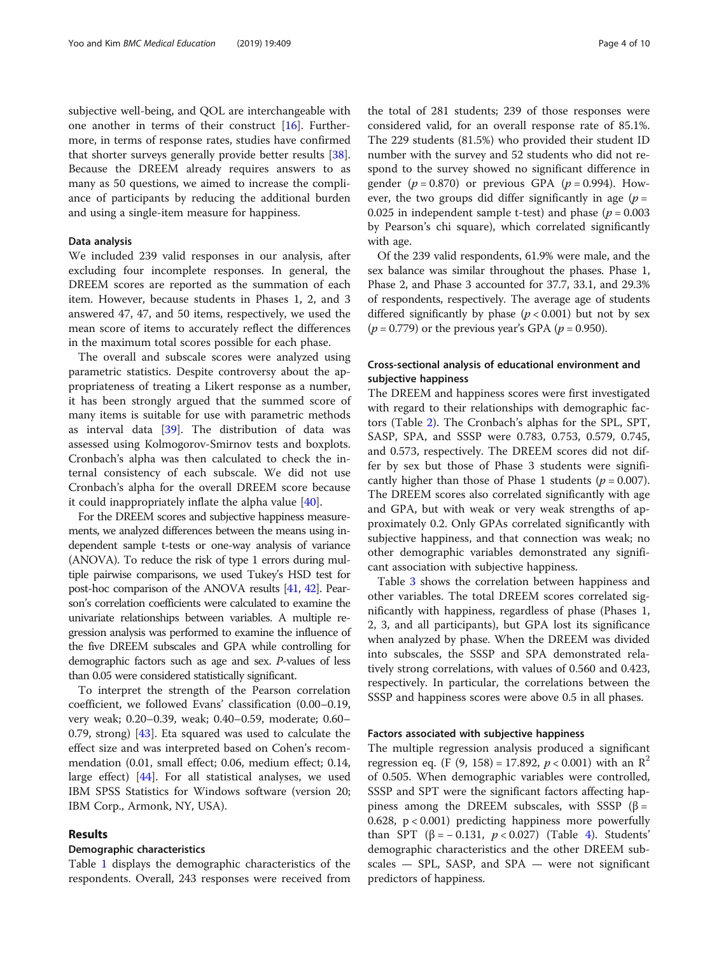subjective well-being, and QOL are interchangeable with one another in terms of their construct [\[16](#page-8-0)]. Furthermore, in terms of response rates, studies have confirmed that shorter surveys generally provide better results [\[38](#page-8-0)]. Because the DREEM already requires answers to as many as 50 questions, we aimed to increase the compliance of participants by reducing the additional burden and using a single-item measure for happiness.

# Data analysis

We included 239 valid responses in our analysis, after excluding four incomplete responses. In general, the DREEM scores are reported as the summation of each item. However, because students in Phases 1, 2, and 3 answered 47, 47, and 50 items, respectively, we used the mean score of items to accurately reflect the differences in the maximum total scores possible for each phase.

The overall and subscale scores were analyzed using parametric statistics. Despite controversy about the appropriateness of treating a Likert response as a number, it has been strongly argued that the summed score of many items is suitable for use with parametric methods as interval data [[39](#page-8-0)]. The distribution of data was assessed using Kolmogorov-Smirnov tests and boxplots. Cronbach's alpha was then calculated to check the internal consistency of each subscale. We did not use Cronbach's alpha for the overall DREEM score because it could inappropriately inflate the alpha value [\[40\]](#page-9-0).

For the DREEM scores and subjective happiness measurements, we analyzed differences between the means using independent sample t-tests or one-way analysis of variance (ANOVA). To reduce the risk of type 1 errors during multiple pairwise comparisons, we used Tukey's HSD test for post-hoc comparison of the ANOVA results [\[41](#page-9-0), [42\]](#page-9-0). Pearson's correlation coefficients were calculated to examine the univariate relationships between variables. A multiple regression analysis was performed to examine the influence of the five DREEM subscales and GPA while controlling for demographic factors such as age and sex. P-values of less than 0.05 were considered statistically significant.

To interpret the strength of the Pearson correlation coefficient, we followed Evans' classification (0.00–0.19, very weak; 0.20–0.39, weak; 0.40–0.59, moderate; 0.60– 0.79, strong) [\[43\]](#page-9-0). Eta squared was used to calculate the effect size and was interpreted based on Cohen's recommendation (0.01, small effect; 0.06, medium effect; 0.14, large effect) [[44\]](#page-9-0). For all statistical analyses, we used IBM SPSS Statistics for Windows software (version 20; IBM Corp., Armonk, NY, USA).

#### Results

#### Demographic characteristics

Table [1](#page-4-0) displays the demographic characteristics of the respondents. Overall, 243 responses were received from

the total of 281 students; 239 of those responses were considered valid, for an overall response rate of 85.1%. The 229 students (81.5%) who provided their student ID number with the survey and 52 students who did not respond to the survey showed no significant difference in gender  $(p = 0.870)$  or previous GPA  $(p = 0.994)$ . However, the two groups did differ significantly in age  $(p =$ 0.025 in independent sample t-test) and phase ( $p = 0.003$ ) by Pearson's chi square), which correlated significantly with age.

Of the 239 valid respondents, 61.9% were male, and the sex balance was similar throughout the phases. Phase 1, Phase 2, and Phase 3 accounted for 37.7, 33.1, and 29.3% of respondents, respectively. The average age of students differed significantly by phase  $(p < 0.001)$  but not by sex  $(p = 0.779)$  or the previous year's GPA  $(p = 0.950)$ .

# Cross-sectional analysis of educational environment and subjective happiness

The DREEM and happiness scores were first investigated with regard to their relationships with demographic factors (Table [2\)](#page-4-0). The Cronbach's alphas for the SPL, SPT, SASP, SPA, and SSSP were 0.783, 0.753, 0.579, 0.745, and 0.573, respectively. The DREEM scores did not differ by sex but those of Phase 3 students were significantly higher than those of Phase 1 students ( $p = 0.007$ ). The DREEM scores also correlated significantly with age and GPA, but with weak or very weak strengths of approximately 0.2. Only GPAs correlated significantly with subjective happiness, and that connection was weak; no other demographic variables demonstrated any significant association with subjective happiness.

Table [3](#page-5-0) shows the correlation between happiness and other variables. The total DREEM scores correlated significantly with happiness, regardless of phase (Phases 1, 2, 3, and all participants), but GPA lost its significance when analyzed by phase. When the DREEM was divided into subscales, the SSSP and SPA demonstrated relatively strong correlations, with values of 0.560 and 0.423, respectively. In particular, the correlations between the SSSP and happiness scores were above 0.5 in all phases.

#### Factors associated with subjective happiness

The multiple regression analysis produced a significant regression eq. (F (9, 158) = 17.892,  $p < 0.001$ ) with an  $\mathbb{R}^2$ of 0.505. When demographic variables were controlled, SSSP and SPT were the significant factors affecting happiness among the DREEM subscales, with SSSP (β = 0.628, p < 0.001) predicting happiness more powerfully than SPT (β = -0.131,  $p < 0.027$ ) (Table [4\)](#page-5-0). Students' demographic characteristics and the other DREEM subscales — SPL, SASP, and SPA — were not significant predictors of happiness.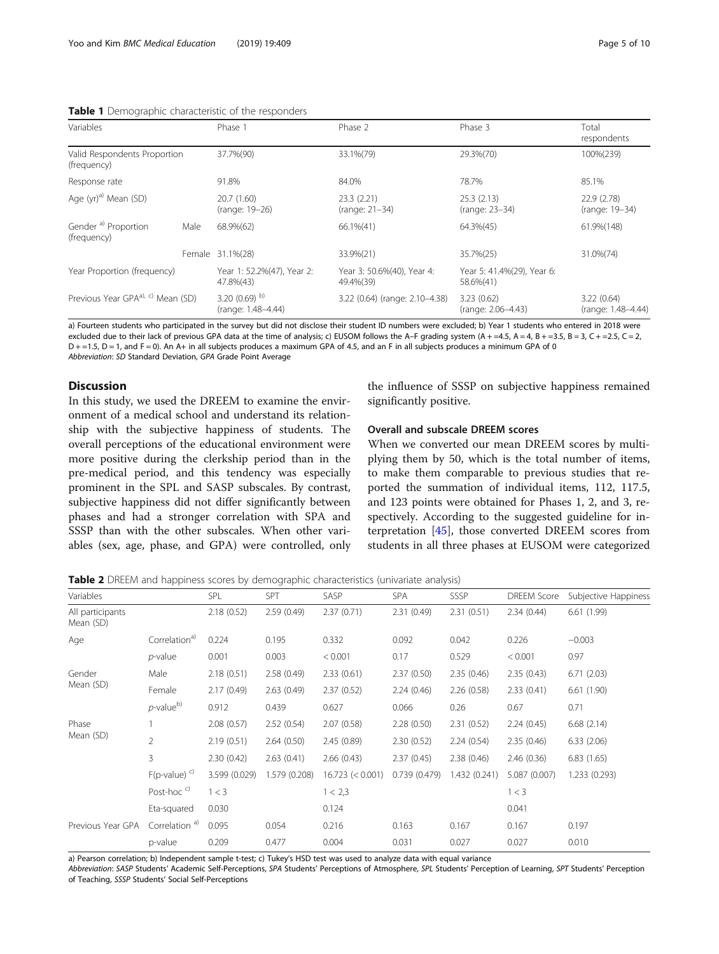| Variables                                      |      | Phase 1                                           | Phase 2                                 | Phase 3                                 | Total<br>respondents             |  |
|------------------------------------------------|------|---------------------------------------------------|-----------------------------------------|-----------------------------------------|----------------------------------|--|
| Valid Respondents Proportion<br>(frequency)    |      | 37.7%(90)                                         | 33.1%(79)                               | 29.3%(70)                               | 100%(239)                        |  |
| Response rate                                  |      | 91.8%                                             | 84.0%                                   | 78.7%                                   | 85.1%                            |  |
| Age (yr) <sup>a)</sup> Mean (SD)               |      | 20.7(1.60)<br>(range: 19-26)                      | 23.3(2.21)<br>(range: 21-34)            | 25.3(2.13)<br>(range: 23-34)            | 22.9 (2.78)<br>(range: 19-34)    |  |
| Gender <sup>a)</sup> Proportion<br>(frequency) | Male | 68.9%(62)                                         | 66.1%(41)                               | $64.3\%(45)$                            | 61.9%(148)                       |  |
|                                                |      | Female 31.1%(28)                                  | 33.9%(21)                               | 35.7%(25)                               | 31.0%(74)                        |  |
| Year Proportion (frequency)                    |      | Year 1: 52.2%(47), Year 2:<br>47.8%(43)           | Year 3: 50.6%(40), Year 4:<br>49.4%(39) | Year 5: 41.4%(29), Year 6:<br>58.6%(41) |                                  |  |
| Previous Year GPA <sup>a), c)</sup> Mean (SD)  |      | 3.20 $(0.69)$ <sup>b)</sup><br>(range: 1.48-4.44) | 3.22 (0.64) (range: 2.10-4.38)          | 3.23(0.62)<br>(range: 2.06-4.43)        | 3.22(0.64)<br>(range: 1.48-4.44) |  |

## <span id="page-4-0"></span>Table 1 Demographic characteristic of the responders

a) Fourteen students who participated in the survey but did not disclose their student ID numbers were excluded; b) Year 1 students who entered in 2018 were excluded due to their lack of previous GPA data at the time of analysis; c) EUSOM follows the A-F grading system  $(A + =4.5, A = 4, B + =3.5, B = 3, C + =2.5, C = 2,$  $D + =1.5$ ,  $D = 1$ , and  $F = 0$ ). An A+ in all subjects produces a maximum GPA of 4.5, and an F in all subjects produces a minimum GPA of 0 Abbreviation: SD Standard Deviation, GPA Grade Point Average

# Discussion

In this study, we used the DREEM to examine the environment of a medical school and understand its relationship with the subjective happiness of students. The overall perceptions of the educational environment were more positive during the clerkship period than in the pre-medical period, and this tendency was especially prominent in the SPL and SASP subscales. By contrast, subjective happiness did not differ significantly between phases and had a stronger correlation with SPA and SSSP than with the other subscales. When other variables (sex, age, phase, and GPA) were controlled, only the influence of SSSP on subjective happiness remained significantly positive.

# Overall and subscale DREEM scores

When we converted our mean DREEM scores by multiplying them by 50, which is the total number of items, to make them comparable to previous studies that reported the summation of individual items, 112, 117.5, and 123 points were obtained for Phases 1, 2, and 3, respectively. According to the suggested guideline for interpretation [[45\]](#page-9-0), those converted DREEM scores from students in all three phases at EUSOM were categorized

Table 2 DREEM and happiness scores by demographic characteristics (univariate analysis)

| Variables                     |                            | SPL           | <b>SPT</b>    | SASP             | <b>SPA</b>   | SSSP          | <b>DREEM Score</b> | Subjective Happiness |
|-------------------------------|----------------------------|---------------|---------------|------------------|--------------|---------------|--------------------|----------------------|
| All participants<br>Mean (SD) |                            | 2.18(0.52)    | 2.59(0.49)    | 2.37(0.71)       | 2.31(0.49)   | 2.31(0.51)    | 2.34(0.44)         | 6.61(1.99)           |
| Age                           | Correlation <sup>a)</sup>  | 0.224         | 0.195         | 0.332            | 0.092        | 0.042         | 0.226              | $-0.003$             |
|                               | $p$ -value                 | 0.001         | 0.003         | < 0.001          | 0.17         | 0.529         | < 0.001            | 0.97                 |
| Gender<br>Mean (SD)           | Male                       | 2.18(0.51)    | 2.58(0.49)    | 2.33(0.61)       | 2.37(0.50)   | 2.35(0.46)    | 2.35(0.43)         | 6.71(2.03)           |
|                               | Female                     | 2.17(0.49)    | 2.63(0.49)    | 2.37(0.52)       | 2.24(0.46)   | 2.26(0.58)    | 2.33(0.41)         | 6.61(1.90)           |
|                               | $p$ -value $^{b)}$         | 0.912         | 0.439         | 0.627            | 0.066        | 0.26          | 0.67               | 0.71                 |
| Phase                         |                            | 2.08(0.57)    | 2.52(0.54)    | 2.07(0.58)       | 2.28(0.50)   | 2.31(0.52)    | 2.24(0.45)         | 6.68(2.14)           |
| Mean (SD)                     | $\overline{2}$             | 2.19(0.51)    | 2.64(0.50)    | 2.45(0.89)       | 2.30(0.52)   | 2.24(0.54)    | 2.35(0.46)         | 6.33(2.06)           |
|                               | 3                          | 2.30(0.42)    | 2.63(0.41)    | 2.66(0.43)       | 2.37(0.45)   | 2.38(0.46)    | 2.46(0.36)         | 6.83(1.65)           |
|                               | $F(p-value)$ <sup>c)</sup> | 3.599 (0.029) | 1.579 (0.208) | 16.723 (< 0.001) | 0.739(0.479) | 1.432 (0.241) | 5.087 (0.007)      | 1.233 (0.293)        |
|                               | Post-hoc <sup>c)</sup>     | 1 < 3         |               | 1 < 2,3          |              |               | 1 < 3              |                      |
|                               | Eta-squared                | 0.030         |               | 0.124            |              |               | 0.041              |                      |
| Previous Year GPA             | Correlation <sup>a)</sup>  | 0.095         | 0.054         | 0.216            | 0.163        | 0.167         | 0.167              | 0.197                |
|                               | p-value                    | 0.209         | 0.477         | 0.004            | 0.031        | 0.027         | 0.027              | 0.010                |

a) Pearson correlation; b) Independent sample t-test; c) Tukey's HSD test was used to analyze data with equal variance

Abbreviation: SASP Students' Academic Self-Perceptions, SPA Students' Perceptions of Atmosphere, SPL Students' Perception of Learning, SPT Students' Perception of Teaching, SSSP Students' Social Self-Perceptions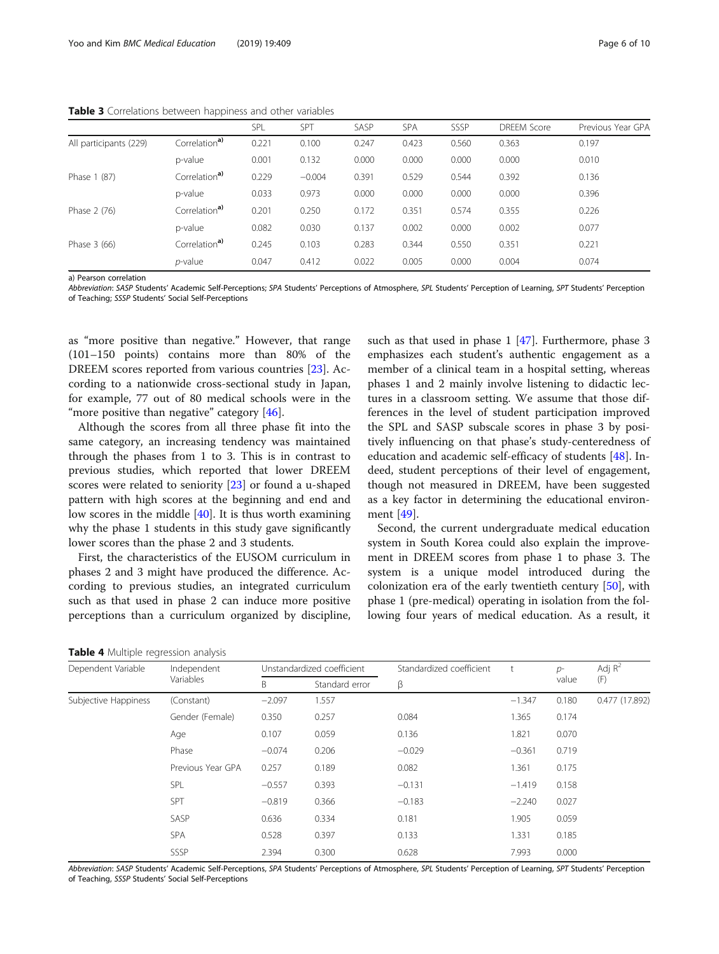<span id="page-5-0"></span>

|                        |                           | SPL   | <b>SPT</b> | SASP  | <b>SPA</b> | SSSP  | <b>DREEM Score</b> | Previous Year GPA |
|------------------------|---------------------------|-------|------------|-------|------------|-------|--------------------|-------------------|
| All participants (229) | Correlation <sup>a)</sup> | 0.221 | 0.100      | 0.247 | 0.423      | 0.560 | 0.363              | 0.197             |
|                        | p-value                   | 0.001 | 0.132      | 0.000 | 0.000      | 0.000 | 0.000              | 0.010             |
| Phase 1 (87)           | Correlation <sup>a)</sup> | 0.229 | $-0.004$   | 0.391 | 0.529      | 0.544 | 0.392              | 0.136             |
|                        | p-value                   | 0.033 | 0.973      | 0.000 | 0.000      | 0.000 | 0.000              | 0.396             |
| Phase 2 (76)           | Correlation <sup>a)</sup> | 0.201 | 0.250      | 0.172 | 0.351      | 0.574 | 0.355              | 0.226             |
|                        | p-value                   | 0.082 | 0.030      | 0.137 | 0.002      | 0.000 | 0.002              | 0.077             |
| Phase 3 (66)           | Correlation <sup>a)</sup> | 0.245 | 0.103      | 0.283 | 0.344      | 0.550 | 0.351              | 0.221             |
|                        | $p$ -value                | 0.047 | 0.412      | 0.022 | 0.005      | 0.000 | 0.004              | 0.074             |

a) Pearson correlation

Abbreviation: SASP Students' Academic Self-Perceptions; SPA Students' Perceptions of Atmosphere, SPL Students' Perception of Learning, SPT Students' Perception of Teaching; SSSP Students' Social Self-Perceptions

as "more positive than negative." However, that range (101–150 points) contains more than 80% of the DREEM scores reported from various countries [[23](#page-8-0)]. According to a nationwide cross-sectional study in Japan, for example, 77 out of 80 medical schools were in the "more positive than negative" category [\[46](#page-9-0)].

Although the scores from all three phase fit into the same category, an increasing tendency was maintained through the phases from 1 to 3. This is in contrast to previous studies, which reported that lower DREEM scores were related to seniority [[23\]](#page-8-0) or found a u-shaped pattern with high scores at the beginning and end and low scores in the middle [[40](#page-9-0)]. It is thus worth examining why the phase 1 students in this study gave significantly lower scores than the phase 2 and 3 students.

First, the characteristics of the EUSOM curriculum in phases 2 and 3 might have produced the difference. According to previous studies, an integrated curriculum such as that used in phase 2 can induce more positive perceptions than a curriculum organized by discipline, such as that used in phase 1 [[47](#page-9-0)]. Furthermore, phase 3 emphasizes each student's authentic engagement as a member of a clinical team in a hospital setting, whereas phases 1 and 2 mainly involve listening to didactic lectures in a classroom setting. We assume that those differences in the level of student participation improved the SPL and SASP subscale scores in phase 3 by positively influencing on that phase's study-centeredness of education and academic self-efficacy of students [\[48](#page-9-0)]. Indeed, student perceptions of their level of engagement, though not measured in DREEM, have been suggested as a key factor in determining the educational environment [[49\]](#page-9-0).

Second, the current undergraduate medical education system in South Korea could also explain the improvement in DREEM scores from phase 1 to phase 3. The system is a unique model introduced during the colonization era of the early twentieth century [\[50](#page-9-0)], with phase 1 (pre-medical) operating in isolation from the following four years of medical education. As a result, it

| Dependent Variable   | Independent       |          | Unstandardized coefficient | Standardized coefficient |          | $p-$  | Adj $R^2$<br>(F) |
|----------------------|-------------------|----------|----------------------------|--------------------------|----------|-------|------------------|
|                      | Variables         | B        | Standard error             | β                        |          | value |                  |
| Subjective Happiness | (Constant)        | $-2.097$ | 1.557                      |                          | $-1.347$ | 0.180 | 0.477 (17.892)   |
|                      | Gender (Female)   | 0.350    | 0.257                      | 0.084                    | 1.365    | 0.174 |                  |
|                      | Age               | 0.107    | 0.059                      | 0.136                    | 1.821    | 0.070 |                  |
|                      | Phase             | $-0.074$ | 0.206                      | $-0.029$                 | $-0.361$ | 0.719 |                  |
|                      | Previous Year GPA | 0.257    | 0.189                      | 0.082                    | 1.361    | 0.175 |                  |
|                      | SPL               | $-0.557$ | 0.393                      | $-0.131$                 | $-1.419$ | 0.158 |                  |
|                      | SPT               | $-0.819$ | 0.366                      | $-0.183$                 | $-2.240$ | 0.027 |                  |
|                      | SASP              | 0.636    | 0.334                      | 0.181                    | 1.905    | 0.059 |                  |
|                      | <b>SPA</b>        | 0.528    | 0.397                      | 0.133                    | 1.331    | 0.185 |                  |
|                      | SSSP              | 2.394    | 0.300                      | 0.628                    | 7.993    | 0.000 |                  |

Abbreviation: SASP Students' Academic Self-Perceptions, SPA Students' Perceptions of Atmosphere, SPL Students' Perception of Learning, SPT Students' Perception of Teaching, SSSP Students' Social Self-Perceptions

|  |  | Table 4 Multiple regression analysis |  |
|--|--|--------------------------------------|--|
|  |  |                                      |  |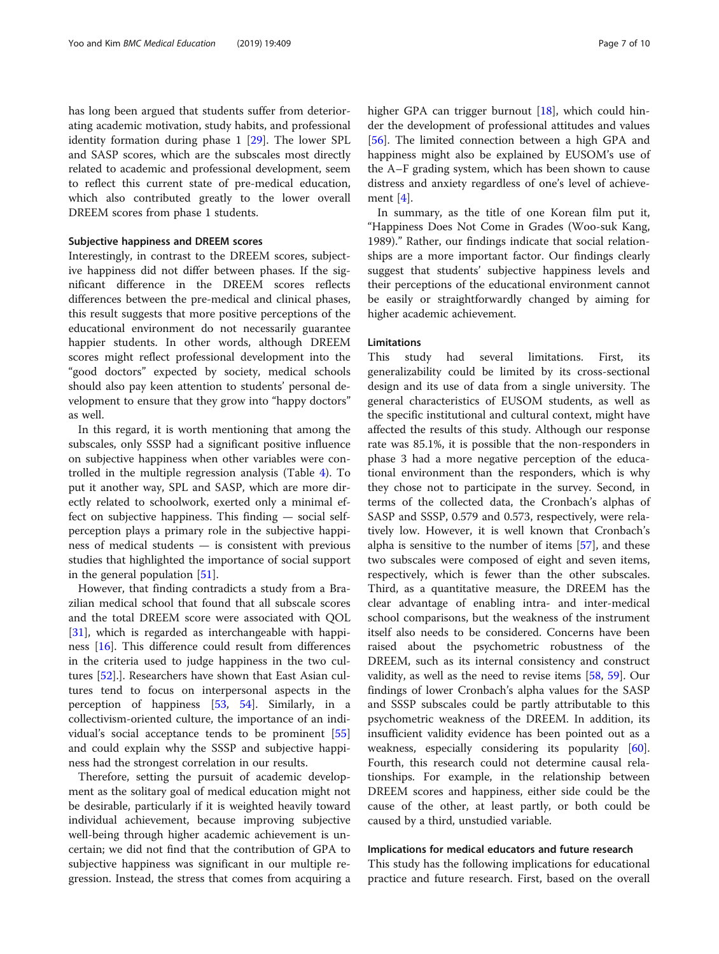has long been argued that students suffer from deteriorating academic motivation, study habits, and professional identity formation during phase 1 [[29](#page-8-0)]. The lower SPL and SASP scores, which are the subscales most directly related to academic and professional development, seem to reflect this current state of pre-medical education, which also contributed greatly to the lower overall DREEM scores from phase 1 students.

# Subjective happiness and DREEM scores

Interestingly, in contrast to the DREEM scores, subjective happiness did not differ between phases. If the significant difference in the DREEM scores reflects differences between the pre-medical and clinical phases, this result suggests that more positive perceptions of the educational environment do not necessarily guarantee happier students. In other words, although DREEM scores might reflect professional development into the "good doctors" expected by society, medical schools should also pay keen attention to students' personal development to ensure that they grow into "happy doctors" as well.

In this regard, it is worth mentioning that among the subscales, only SSSP had a significant positive influence on subjective happiness when other variables were controlled in the multiple regression analysis (Table [4\)](#page-5-0). To put it another way, SPL and SASP, which are more directly related to schoolwork, exerted only a minimal effect on subjective happiness. This finding — social selfperception plays a primary role in the subjective happiness of medical students — is consistent with previous studies that highlighted the importance of social support in the general population [\[51\]](#page-9-0).

However, that finding contradicts a study from a Brazilian medical school that found that all subscale scores and the total DREEM score were associated with QOL [[31\]](#page-8-0), which is regarded as interchangeable with happiness [[16](#page-8-0)]. This difference could result from differences in the criteria used to judge happiness in the two cultures [\[52](#page-9-0)].]. Researchers have shown that East Asian cultures tend to focus on interpersonal aspects in the perception of happiness [[53,](#page-9-0) [54](#page-9-0)]. Similarly, in a collectivism-oriented culture, the importance of an individual's social acceptance tends to be prominent [[55](#page-9-0)] and could explain why the SSSP and subjective happiness had the strongest correlation in our results.

Therefore, setting the pursuit of academic development as the solitary goal of medical education might not be desirable, particularly if it is weighted heavily toward individual achievement, because improving subjective well-being through higher academic achievement is uncertain; we did not find that the contribution of GPA to subjective happiness was significant in our multiple regression. Instead, the stress that comes from acquiring a higher GPA can trigger burnout [[18](#page-8-0)], which could hinder the development of professional attitudes and values [[56\]](#page-9-0). The limited connection between a high GPA and happiness might also be explained by EUSOM's use of the A–F grading system, which has been shown to cause distress and anxiety regardless of one's level of achievement [[4\]](#page-8-0).

In summary, as the title of one Korean film put it, "Happiness Does Not Come in Grades (Woo-suk Kang, 1989)." Rather, our findings indicate that social relationships are a more important factor. Our findings clearly suggest that students' subjective happiness levels and their perceptions of the educational environment cannot be easily or straightforwardly changed by aiming for higher academic achievement.

# Limitations

This study had several limitations. First, its generalizability could be limited by its cross-sectional design and its use of data from a single university. The general characteristics of EUSOM students, as well as the specific institutional and cultural context, might have affected the results of this study. Although our response rate was 85.1%, it is possible that the non-responders in phase 3 had a more negative perception of the educational environment than the responders, which is why they chose not to participate in the survey. Second, in terms of the collected data, the Cronbach's alphas of SASP and SSSP, 0.579 and 0.573, respectively, were relatively low. However, it is well known that Cronbach's alpha is sensitive to the number of items [[57\]](#page-9-0), and these two subscales were composed of eight and seven items, respectively, which is fewer than the other subscales. Third, as a quantitative measure, the DREEM has the clear advantage of enabling intra- and inter-medical school comparisons, but the weakness of the instrument itself also needs to be considered. Concerns have been raised about the psychometric robustness of the DREEM, such as its internal consistency and construct validity, as well as the need to revise items [\[58,](#page-9-0) [59](#page-9-0)]. Our findings of lower Cronbach's alpha values for the SASP and SSSP subscales could be partly attributable to this psychometric weakness of the DREEM. In addition, its insufficient validity evidence has been pointed out as a weakness, especially considering its popularity [\[60](#page-9-0)]. Fourth, this research could not determine causal relationships. For example, in the relationship between DREEM scores and happiness, either side could be the cause of the other, at least partly, or both could be caused by a third, unstudied variable.

#### Implications for medical educators and future research

This study has the following implications for educational practice and future research. First, based on the overall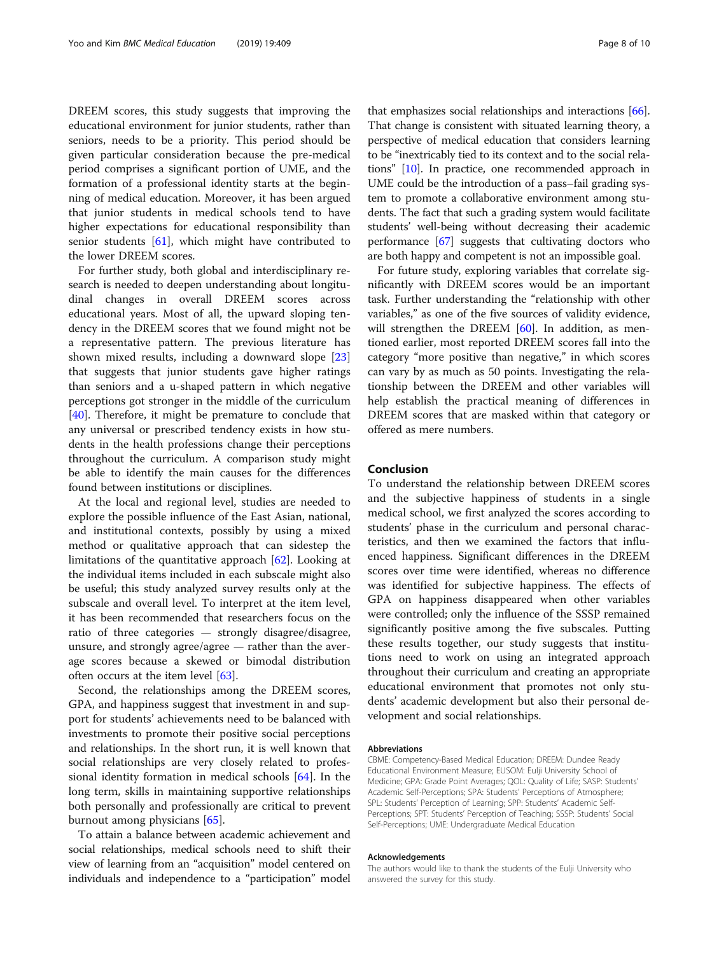DREEM scores, this study suggests that improving the educational environment for junior students, rather than seniors, needs to be a priority. This period should be given particular consideration because the pre-medical period comprises a significant portion of UME, and the formation of a professional identity starts at the beginning of medical education. Moreover, it has been argued that junior students in medical schools tend to have higher expectations for educational responsibility than senior students [[61](#page-9-0)], which might have contributed to the lower DREEM scores.

For further study, both global and interdisciplinary research is needed to deepen understanding about longitudinal changes in overall DREEM scores across educational years. Most of all, the upward sloping tendency in the DREEM scores that we found might not be a representative pattern. The previous literature has shown mixed results, including a downward slope [[23](#page-8-0)] that suggests that junior students gave higher ratings than seniors and a u-shaped pattern in which negative perceptions got stronger in the middle of the curriculum [[40\]](#page-9-0). Therefore, it might be premature to conclude that any universal or prescribed tendency exists in how students in the health professions change their perceptions throughout the curriculum. A comparison study might be able to identify the main causes for the differences found between institutions or disciplines.

At the local and regional level, studies are needed to explore the possible influence of the East Asian, national, and institutional contexts, possibly by using a mixed method or qualitative approach that can sidestep the limitations of the quantitative approach [[62](#page-9-0)]. Looking at the individual items included in each subscale might also be useful; this study analyzed survey results only at the subscale and overall level. To interpret at the item level, it has been recommended that researchers focus on the ratio of three categories — strongly disagree/disagree, unsure, and strongly agree/agree — rather than the average scores because a skewed or bimodal distribution often occurs at the item level [\[63](#page-9-0)].

Second, the relationships among the DREEM scores, GPA, and happiness suggest that investment in and support for students' achievements need to be balanced with investments to promote their positive social perceptions and relationships. In the short run, it is well known that social relationships are very closely related to professional identity formation in medical schools [[64](#page-9-0)]. In the long term, skills in maintaining supportive relationships both personally and professionally are critical to prevent burnout among physicians [\[65](#page-9-0)].

To attain a balance between academic achievement and social relationships, medical schools need to shift their view of learning from an "acquisition" model centered on individuals and independence to a "participation" model

that emphasizes social relationships and interactions [[66](#page-9-0)]. That change is consistent with situated learning theory, a perspective of medical education that considers learning to be "inextricably tied to its context and to the social relations" [[10](#page-8-0)]. In practice, one recommended approach in UME could be the introduction of a pass–fail grading system to promote a collaborative environment among students. The fact that such a grading system would facilitate students' well-being without decreasing their academic performance [[67](#page-9-0)] suggests that cultivating doctors who are both happy and competent is not an impossible goal.

For future study, exploring variables that correlate significantly with DREEM scores would be an important task. Further understanding the "relationship with other variables," as one of the five sources of validity evidence, will strengthen the DREEM [[60](#page-9-0)]. In addition, as mentioned earlier, most reported DREEM scores fall into the category "more positive than negative," in which scores can vary by as much as 50 points. Investigating the relationship between the DREEM and other variables will help establish the practical meaning of differences in DREEM scores that are masked within that category or offered as mere numbers.

# Conclusion

To understand the relationship between DREEM scores and the subjective happiness of students in a single medical school, we first analyzed the scores according to students' phase in the curriculum and personal characteristics, and then we examined the factors that influenced happiness. Significant differences in the DREEM scores over time were identified, whereas no difference was identified for subjective happiness. The effects of GPA on happiness disappeared when other variables were controlled; only the influence of the SSSP remained significantly positive among the five subscales. Putting these results together, our study suggests that institutions need to work on using an integrated approach throughout their curriculum and creating an appropriate educational environment that promotes not only students' academic development but also their personal development and social relationships.

#### Abbreviations

CBME: Competency-Based Medical Education; DREEM: Dundee Ready Educational Environment Measure; EUSOM: Eulji University School of Medicine; GPA: Grade Point Averages; QOL: Quality of Life; SASP: Students' Academic Self-Perceptions; SPA: Students' Perceptions of Atmosphere; SPL: Students' Perception of Learning; SPP: Students' Academic Self-Perceptions; SPT: Students' Perception of Teaching; SSSP: Students' Social Self-Perceptions; UME: Undergraduate Medical Education

#### Acknowledgements

The authors would like to thank the students of the Eulji University who answered the survey for this study.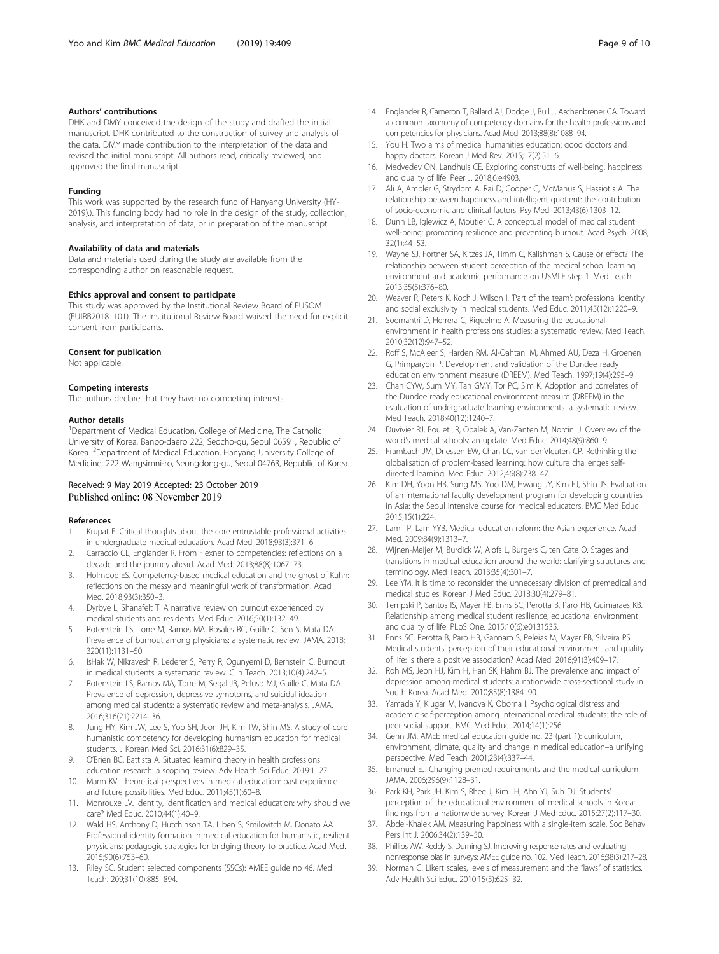#### <span id="page-8-0"></span>Authors' contributions

DHK and DMY conceived the design of the study and drafted the initial manuscript. DHK contributed to the construction of survey and analysis of the data. DMY made contribution to the interpretation of the data and revised the initial manuscript. All authors read, critically reviewed, and approved the final manuscript.

#### Funding

This work was supported by the research fund of Hanyang University (HY-2019).). This funding body had no role in the design of the study; collection, analysis, and interpretation of data; or in preparation of the manuscript.

#### Availability of data and materials

Data and materials used during the study are available from the corresponding author on reasonable request.

#### Ethics approval and consent to participate

This study was approved by the Institutional Review Board of EUSOM (EUIRB2018–101). The Institutional Review Board waived the need for explicit consent from participants.

#### Consent for publication

Not applicable.

#### Competing interests

The authors declare that they have no competing interests.

#### Author details

<sup>1</sup>Department of Medical Education, College of Medicine, The Catholic University of Korea, Banpo-daero 222, Seocho-gu, Seoul 06591, Republic of Korea. <sup>2</sup> Department of Medical Education, Hanyang University College of Medicine, 222 Wangsimni-ro, Seongdong-gu, Seoul 04763, Republic of Korea.

#### Received: 9 May 2019 Accepted: 23 October 2019 Published online: 08 November 2019

#### References

- 1. Krupat E. Critical thoughts about the core entrustable professional activities in undergraduate medical education. Acad Med. 2018;93(3):371–6.
- 2. Carraccio CL, Englander R. From Flexner to competencies: reflections on a decade and the journey ahead. Acad Med. 2013;88(8):1067–73.
- 3. Holmboe ES. Competency-based medical education and the ghost of Kuhn: reflections on the messy and meaningful work of transformation. Acad Med. 2018;93(3):350–3.
- 4. Dyrbye L, Shanafelt T. A narrative review on burnout experienced by medical students and residents. Med Educ. 2016;50(1):132–49.
- 5. Rotenstein LS, Torre M, Ramos MA, Rosales RC, Guille C, Sen S, Mata DA. Prevalence of burnout among physicians: a systematic review. JAMA. 2018; 320(11):1131–50.
- 6. IsHak W, Nikravesh R, Lederer S, Perry R, Ogunyemi D, Bernstein C. Burnout in medical students: a systematic review. Clin Teach. 2013;10(4):242–5.
- 7. Rotenstein LS, Ramos MA, Torre M, Segal JB, Peluso MJ, Guille C, Mata DA. Prevalence of depression, depressive symptoms, and suicidal ideation among medical students: a systematic review and meta-analysis. JAMA. 2016;316(21):2214–36.
- 8. Jung HY, Kim JW, Lee S, Yoo SH, Jeon JH, Kim TW, Shin MS. A study of core humanistic competency for developing humanism education for medical students. J Korean Med Sci. 2016;31(6):829–35.
- O'Brien BC, Battista A. Situated learning theory in health professions education research: a scoping review. Adv Health Sci Educ. 2019:1–27.
- 10. Mann KV. Theoretical perspectives in medical education: past experience and future possibilities. Med Educ. 2011;45(1):60–8.
- 11. Monrouxe LV. Identity, identification and medical education: why should we care? Med Educ. 2010;44(1):40–9.
- 12. Wald HS, Anthony D, Hutchinson TA, Liben S, Smilovitch M, Donato AA. Professional identity formation in medical education for humanistic, resilient physicians: pedagogic strategies for bridging theory to practice. Acad Med. 2015;90(6):753–60.
- 13. Riley SC. Student selected components (SSCs): AMEE guide no 46. Med Teach. 209;31(10):885–894.
- 14. Englander R, Cameron T, Ballard AJ, Dodge J, Bull J, Aschenbrener CA. Toward a common taxonomy of competency domains for the health professions and competencies for physicians. Acad Med. 2013;88(8):1088–94.
- 15. You H. Two aims of medical humanities education: good doctors and happy doctors. Korean J Med Rev. 2015;17(2):51-6.
- 16. Medvedev ON, Landhuis CE. Exploring constructs of well-being, happiness and quality of life. Peer J. 2018;6:e4903.
- 17. Ali A, Ambler G, Strydom A, Rai D, Cooper C, McManus S, Hassiotis A. The relationship between happiness and intelligent quotient: the contribution of socio-economic and clinical factors. Psy Med. 2013;43(6):1303–12.
- 18. Dunn LB, Iglewicz A, Moutier C. A conceptual model of medical student well-being: promoting resilience and preventing burnout. Acad Psych. 2008; 32(1):44–53.
- 19. Wayne SJ, Fortner SA, Kitzes JA, Timm C, Kalishman S. Cause or effect? The relationship between student perception of the medical school learning environment and academic performance on USMLE step 1. Med Teach. 2013;35(5):376–80.
- 20. Weaver R, Peters K, Koch J, Wilson I. 'Part of the team': professional identity and social exclusivity in medical students. Med Educ. 2011;45(12):1220–9.
- 21. Soemantri D, Herrera C, Riquelme A. Measuring the educational environment in health professions studies: a systematic review. Med Teach. 2010;32(12):947–52.
- 22. Roff S, McAleer S, Harden RM, Al-Qahtani M, Ahmed AU, Deza H, Groenen G, Primparyon P. Development and validation of the Dundee ready education environment measure (DREEM). Med Teach. 1997;19(4):295–9.
- 23. Chan CYW, Sum MY, Tan GMY, Tor PC, Sim K. Adoption and correlates of the Dundee ready educational environment measure (DREEM) in the evaluation of undergraduate learning environments–a systematic review. Med Teach. 2018;40(12):1240–7.
- 24. Duvivier RJ, Boulet JR, Opalek A, Van-Zanten M, Norcini J. Overview of the world's medical schools: an update. Med Educ. 2014;48(9):860–9.
- 25. Frambach JM, Driessen EW, Chan LC, van der Vleuten CP. Rethinking the globalisation of problem-based learning: how culture challenges selfdirected learning. Med Educ. 2012;46(8):738–47.
- 26. Kim DH, Yoon HB, Sung MS, Yoo DM, Hwang JY, Kim EJ, Shin JS. Evaluation of an international faculty development program for developing countries in Asia: the Seoul intensive course for medical educators. BMC Med Educ. 2015;15(1):224.
- 27. Lam TP, Lam YYB. Medical education reform: the Asian experience. Acad Med. 2009;84(9):1313-7
- 28. Wijnen-Meijer M, Burdick W, Alofs L, Burgers C, ten Cate O. Stages and transitions in medical education around the world: clarifying structures and terminology. Med Teach. 2013;35(4):301–7.
- 29. Lee YM. It is time to reconsider the unnecessary division of premedical and medical studies. Korean J Med Educ. 2018;30(4):279–81.
- 30. Tempski P, Santos IS, Mayer FB, Enns SC, Perotta B, Paro HB, Guimaraes KB. Relationship among medical student resilience, educational environment and quality of life. PLoS One. 2015;10(6):e0131535.
- 31. Enns SC, Perotta B, Paro HB, Gannam S, Peleias M, Mayer FB, Silveira PS. Medical students' perception of their educational environment and quality of life: is there a positive association? Acad Med. 2016;91(3):409–17.
- 32. Roh MS, Jeon HJ, Kim H, Han SK, Hahm BJ. The prevalence and impact of depression among medical students: a nationwide cross-sectional study in South Korea. Acad Med. 2010;85(8):1384–90.
- 33. Yamada Y, Klugar M, Ivanova K, Oborna I. Psychological distress and academic self-perception among international medical students: the role of peer social support. BMC Med Educ. 2014;14(1):256.
- 34. Genn JM. AMEE medical education guide no. 23 (part 1): curriculum, environment, climate, quality and change in medical education–a unifying perspective. Med Teach. 2001;23(4):337–44.
- 35. Emanuel EJ. Changing premed requirements and the medical curriculum. JAMA. 2006;296(9):1128–31.
- 36. Park KH, Park JH, Kim S, Rhee J, Kim JH, Ahn YJ, Suh DJ. Students' perception of the educational environment of medical schools in Korea: findings from a nationwide survey. Korean J Med Educ. 2015;27(2):117–30.
- 37. Abdel-Khalek AM. Measuring happiness with a single-item scale. Soc Behav Pers Int J. 2006;34(2):139–50.
- 38. Phillips AW, Reddy S, Durning SJ. Improving response rates and evaluating nonresponse bias in surveys: AMEE guide no. 102. Med Teach. 2016;38(3):217–28.
- 39. Norman G. Likert scales, levels of measurement and the "laws" of statistics. Adv Health Sci Educ. 2010;15(5):625–32.